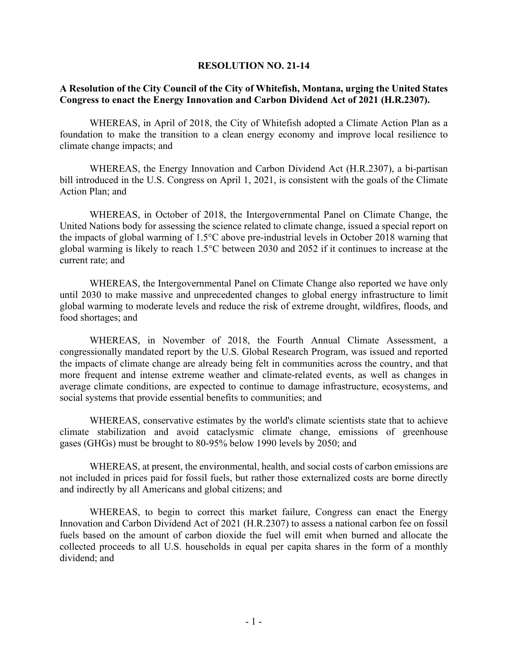## **RESOLUTION NO. 21-14**

## **A Resolution of the City Council of the City of Whitefish, Montana, urging the United States Congress to enact the Energy Innovation and Carbon Dividend Act of 2021 (H.R.2307).**

WHEREAS, in April of 2018, the City of Whitefish adopted a Climate Action Plan as a foundation to make the transition to a clean energy economy and improve local resilience to climate change impacts; and

WHEREAS, the Energy Innovation and Carbon Dividend Act (H.R.2307), a bi-partisan bill introduced in the U.S. Congress on April 1, 2021, is consistent with the goals of the Climate Action Plan; and

WHEREAS, in October of 2018, the Intergovernmental Panel on Climate Change, the United Nations body for assessing the science related to climate change, issued a special report on the impacts of global warming of 1.5°C above pre-industrial levels in October 2018 warning that global warming is likely to reach 1.5°C between 2030 and 2052 if it continues to increase at the current rate; and

WHEREAS, the Intergovernmental Panel on Climate Change also reported we have only until 2030 to make massive and unprecedented changes to global energy infrastructure to limit global warming to moderate levels and reduce the risk of extreme drought, wildfires, floods, and food shortages; and

WHEREAS, in November of 2018, the Fourth Annual Climate Assessment, a congressionally mandated report by the U.S. Global Research Program, was issued and reported the impacts of climate change are already being felt in communities across the country, and that more frequent and intense extreme weather and climate-related events, as well as changes in average climate conditions, are expected to continue to damage infrastructure, ecosystems, and social systems that provide essential benefits to communities; and

WHEREAS, conservative estimates by the world's climate scientists state that to achieve climate stabilization and avoid cataclysmic climate change, emissions of greenhouse gases (GHGs) must be brought to 80-95% below 1990 levels by 2050; and

WHEREAS, at present, the environmental, health, and social costs of carbon emissions are not included in prices paid for fossil fuels, but rather those externalized costs are borne directly and indirectly by all Americans and global citizens; and

WHEREAS, to begin to correct this market failure, Congress can enact the Energy Innovation and Carbon Dividend Act of 2021 (H.R.2307) to assess a national carbon fee on fossil fuels based on the amount of carbon dioxide the fuel will emit when burned and allocate the collected proceeds to all U.S. households in equal per capita shares in the form of a monthly dividend; and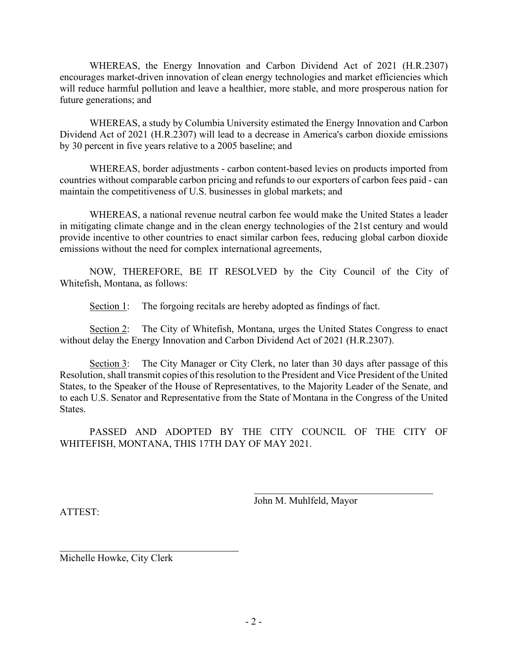WHEREAS, the Energy Innovation and Carbon Dividend Act of 2021 (H.R.2307) encourages market-driven innovation of clean energy technologies and market efficiencies which will reduce harmful pollution and leave a healthier, more stable, and more prosperous nation for future generations; and

WHEREAS, a study by Columbia University estimated the Energy Innovation and Carbon Dividend Act of 2021 (H.R.2307) will lead to a decrease in America's carbon dioxide emissions by 30 percent in five years relative to a 2005 baseline; and

WHEREAS, border adjustments - carbon content-based levies on products imported from countries without comparable carbon pricing and refunds to our exporters of carbon fees paid - can maintain the competitiveness of U.S. businesses in global markets; and

WHEREAS, a national revenue neutral carbon fee would make the United States a leader in mitigating climate change and in the clean energy technologies of the 21st century and would provide incentive to other countries to enact similar carbon fees, reducing global carbon dioxide emissions without the need for complex international agreements,

NOW, THEREFORE, BE IT RESOLVED by the City Council of the City of Whitefish, Montana, as follows:

Section 1: The forgoing recitals are hereby adopted as findings of fact.

Section 2: The City of Whitefish, Montana, urges the United States Congress to enact without delay the Energy Innovation and Carbon Dividend Act of 2021 (H.R.2307).

Section 3: The City Manager or City Clerk, no later than 30 days after passage of this Resolution, shall transmit copies of this resolution to the President and Vice President of the United States, to the Speaker of the House of Representatives, to the Majority Leader of the Senate, and to each U.S. Senator and Representative from the State of Montana in the Congress of the United States.

PASSED AND ADOPTED BY THE CITY COUNCIL OF THE CITY OF WHITEFISH, MONTANA, THIS 17TH DAY OF MAY 2021.

*/s/John Muhlfeld*

John M. Muhlfeld, Mayor

ATTEST:

*/s/Michelle Howke*

Michelle Howke, City Clerk